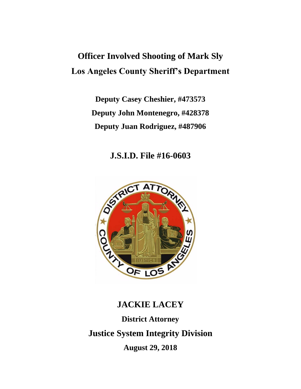# **Officer Involved Shooting of Mark Sly Los Angeles County Sheriff's Department**

**Deputy Casey Cheshier, #473573 Deputy John Montenegro, #428378 Deputy Juan Rodriguez, #487906**

**J.S.I.D. File #16-0603**



# **JACKIE LACEY District Attorney Justice System Integrity Division August 29, 2018**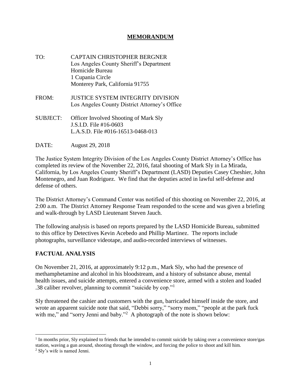# **MEMORANDUM**

- TO: CAPTAIN CHRISTOPHER BERGNER Los Angeles County Sheriff's Department Homicide Bureau 1 Cupania Circle Monterey Park, California 91755
- FROM: JUSTICE SYSTEM INTEGRITY DIVISION Los Angeles County District Attorney's Office
- SUBJECT: Officer Involved Shooting of Mark Sly J.S.I.D. File #16-0603 L.A.S.D. File #016-16513-0468-013
- DATE: August 29, 2018

The Justice System Integrity Division of the Los Angeles County District Attorney's Office has completed its review of the November 22, 2016, fatal shooting of Mark Sly in La Mirada, California, by Los Angeles County Sheriff's Department (LASD) Deputies Casey Cheshier, John Montenegro, and Juan Rodriguez. We find that the deputies acted in lawful self-defense and defense of others.

The District Attorney's Command Center was notified of this shooting on November 22, 2016, at 2:00 a.m. The District Attorney Response Team responded to the scene and was given a briefing and walk-through by LASD Lieutenant Steven Jauch.

The following analysis is based on reports prepared by the LASD Homicide Bureau, submitted to this office by Detectives Kevin Acebedo and Phillip Martinez. The reports include photographs, surveillance videotape, and audio-recorded interviews of witnesses.

# **FACTUAL ANALYSIS**

On November 21, 2016, at approximately 9:12 p.m., Mark Sly, who had the presence of methamphetamine and alcohol in his bloodstream, and a history of substance abuse, mental health issues, and suicide attempts, entered a convenience store, armed with a stolen and loaded .38 caliber revolver, planning to commit "suicide by cop."<sup>1</sup>

Sly threatened the cashier and customers with the gun, barricaded himself inside the store, and wrote an apparent suicide note that said, "Debbi sorry," "sorry mom," "people at the park fuck with me," and "sorry Jenni and baby."<sup>2</sup> A photograph of the note is shown below:

<sup>&</sup>lt;sup>1</sup> In months prior, Sly explained to friends that he intended to commit suicide by taking over a convenience store/gas station, waving a gun around, shooting through the window, and forcing the police to shoot and kill him.

<sup>2</sup> Sly's wife is named Jenni.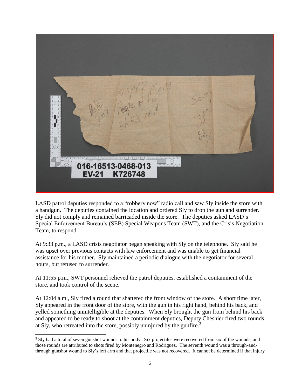

LASD patrol deputies responded to a "robbery now" radio call and saw Sly inside the store with a handgun. The deputies contained the location and ordered Sly to drop the gun and surrender. Sly did not comply and remained barricaded inside the store. The deputies asked LASD's Special Enforcement Bureau's (SEB) Special Weapons Team (SWT), and the Crisis Negotiation Team, to respond.

At 9:33 p.m., a LASD crisis negotiator began speaking with Sly on the telephone. Sly said he was upset over previous contacts with law enforcement and was unable to get financial assistance for his mother. Sly maintained a periodic dialogue with the negotiator for several hours, but refused to surrender.

At 11:55 p.m., SWT personnel relieved the patrol deputies, established a containment of the store, and took control of the scene.

At 12:04 a.m., Sly fired a round that shattered the front window of the store. A short time later, Sly appeared in the front door of the store, with the gun in his right hand, behind his back, and yelled something unintelligible at the deputies. When Sly brought the gun from behind his back and appeared to be ready to shoot at the containment deputies, Deputy Cheshier fired two rounds at Sly, who retreated into the store, possibly uninjured by the gunfire.<sup>3</sup>

<sup>&</sup>lt;sup>3</sup> Sly had a total of seven gunshot wounds to his body. Six projectiles were recovered from six of the wounds, and those rounds are attributed to shots fired by Montenegro and Rodriguez. The seventh wound was a through-andthrough gunshot wound to Sly's left arm and that projectile was not recovered. It cannot be determined if that injury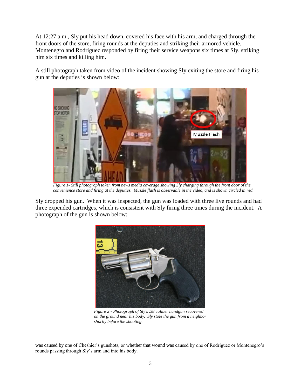At 12:27 a.m., Sly put his head down, covered his face with his arm, and charged through the front doors of the store, firing rounds at the deputies and striking their armored vehicle. Montenegro and Rodriguez responded by firing their service weapons six times at Sly, striking him six times and killing him.

A still photograph taken from video of the incident showing Sly exiting the store and firing his gun at the deputies is shown below:



*Figure 1- Still photograph taken from news media coverage showing Sly charging through the front door of the convenience store and firing at the deputies. Muzzle flash is observable in the video, and is shown circled in red.*

Sly dropped his gun. When it was inspected, the gun was loaded with three live rounds and had three expended cartridges, which is consistent with Sly firing three times during the incident. A photograph of the gun is shown below:



*Figure 2 - Photograph of Sly's .38 caliber handgun recovered on the ground near his body. Sly stole the gun from a neighbor shortly before the shooting.*

was caused by one of Cheshier's gunshots, or whether that wound was caused by one of Rodriguez or Montenegro's rounds passing through Sly's arm and into his body.